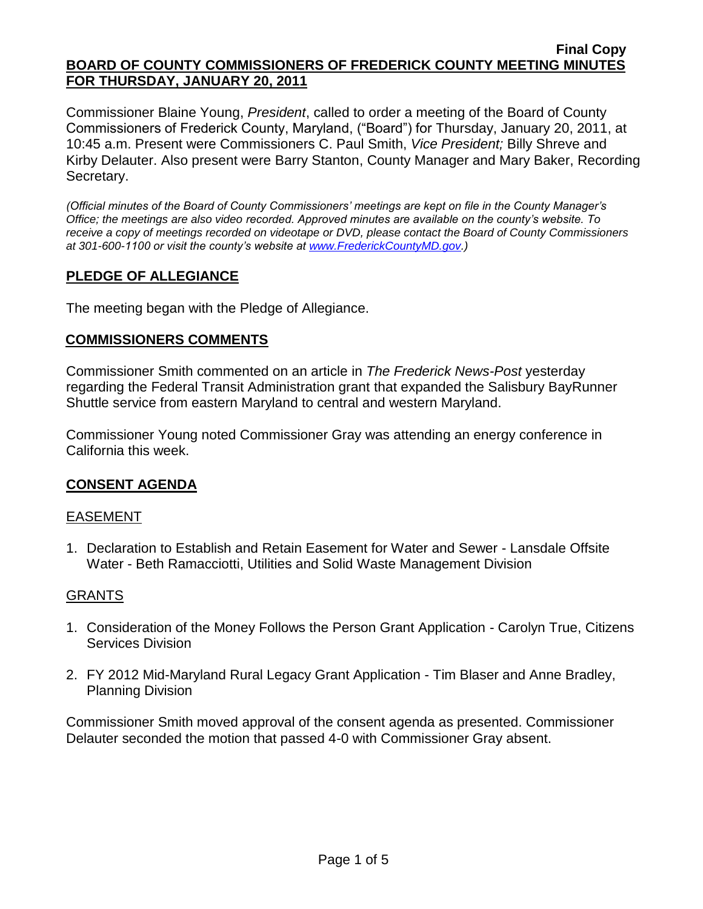#### **Final Copy BOARD OF COUNTY COMMISSIONERS OF FREDERICK COUNTY MEETING MINUTES FOR THURSDAY, JANUARY 20, 2011**

Commissioner Blaine Young, *President*, called to order a meeting of the Board of County Commissioners of Frederick County, Maryland, ("Board") for Thursday, January 20, 2011, at 10:45 a.m. Present were Commissioners C. Paul Smith, *Vice President;* Billy Shreve and Kirby Delauter. Also present were Barry Stanton, County Manager and Mary Baker, Recording Secretary.

*(Official minutes of the Board of County Commissioners' meetings are kept on file in the County Manager's Office; the meetings are also video recorded. Approved minutes are available on the county's website. To receive a copy of meetings recorded on videotape or DVD, please contact the Board of County Commissioners at 301-600-1100 or visit the county's website at [www.FrederickCountyMD.gov.](http://www.frederickcountymd.gov/))*

# **PLEDGE OF ALLEGIANCE**

The meeting began with the Pledge of Allegiance.

# **COMMISSIONERS COMMENTS**

Commissioner Smith commented on an article in *The Frederick News-Post* yesterday regarding the Federal Transit Administration grant that expanded the Salisbury BayRunner Shuttle service from eastern Maryland to central and western Maryland.

Commissioner Young noted Commissioner Gray was attending an energy conference in California this week.

# **CONSENT AGENDA**

# EASEMENT

1. Declaration to Establish and Retain Easement for Water and Sewer - Lansdale Offsite Water - Beth Ramacciotti, Utilities and Solid Waste Management Division

# GRANTS

- 1. Consideration of the Money Follows the Person Grant Application Carolyn True, Citizens Services Division
- 2. FY 2012 Mid-Maryland Rural Legacy Grant Application Tim Blaser and Anne Bradley, Planning Division

Commissioner Smith moved approval of the consent agenda as presented. Commissioner Delauter seconded the motion that passed 4-0 with Commissioner Gray absent.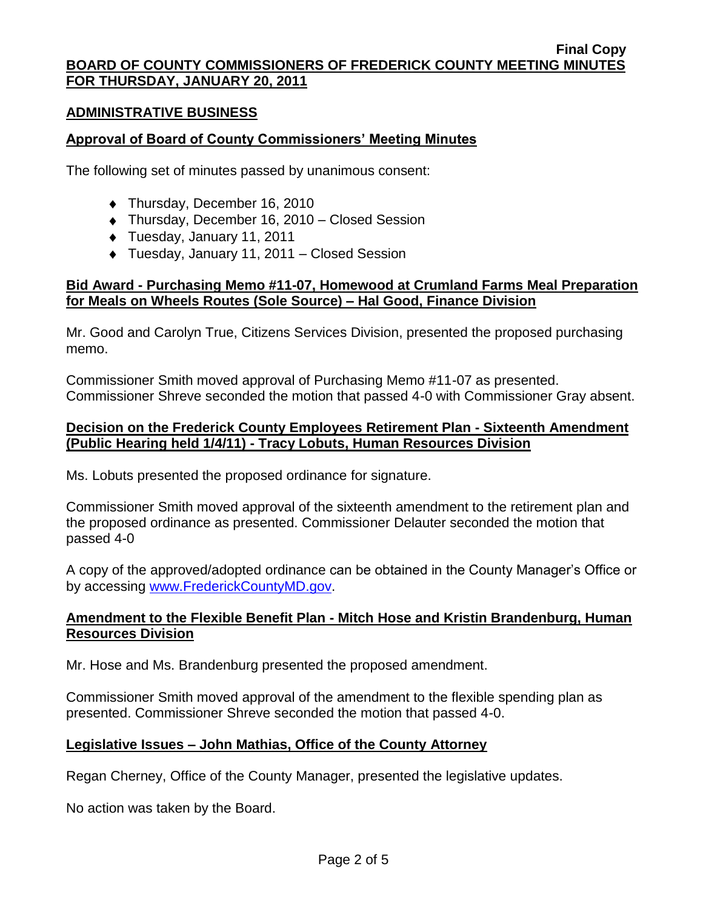#### **ADMINISTRATIVE BUSINESS**

### **Approval of Board of County Commissioners' Meeting Minutes**

The following set of minutes passed by unanimous consent:

- ◆ Thursday, December 16, 2010
- Thursday, December 16, 2010 Closed Session
- Tuesday, January 11, 2011
- Tuesday, January 11, 2011 Closed Session

### **Bid Award - Purchasing Memo #11-07, Homewood at Crumland Farms Meal Preparation for Meals on Wheels Routes (Sole Source) – Hal Good, Finance Division**

Mr. Good and Carolyn True, Citizens Services Division, presented the proposed purchasing memo.

Commissioner Smith moved approval of Purchasing Memo #11-07 as presented. Commissioner Shreve seconded the motion that passed 4-0 with Commissioner Gray absent.

# **Decision on the Frederick County Employees Retirement Plan - Sixteenth Amendment (Public Hearing held 1/4/11) - Tracy Lobuts, Human Resources Division**

Ms. Lobuts presented the proposed ordinance for signature.

Commissioner Smith moved approval of the sixteenth amendment to the retirement plan and the proposed ordinance as presented. Commissioner Delauter seconded the motion that passed 4-0

A copy of the approved/adopted ordinance can be obtained in the County Manager's Office or by accessing [www.FrederickCountyMD.gov.](file://NT1S5/BOCC/BOCC/BOCC%20Minutes/Mary)

# **Amendment to the Flexible Benefit Plan - Mitch Hose and Kristin Brandenburg, Human Resources Division**

Mr. Hose and Ms. Brandenburg presented the proposed amendment.

Commissioner Smith moved approval of the amendment to the flexible spending plan as presented. Commissioner Shreve seconded the motion that passed 4-0.

# **Legislative Issues – John Mathias, Office of the County Attorney**

Regan Cherney, Office of the County Manager, presented the legislative updates.

No action was taken by the Board.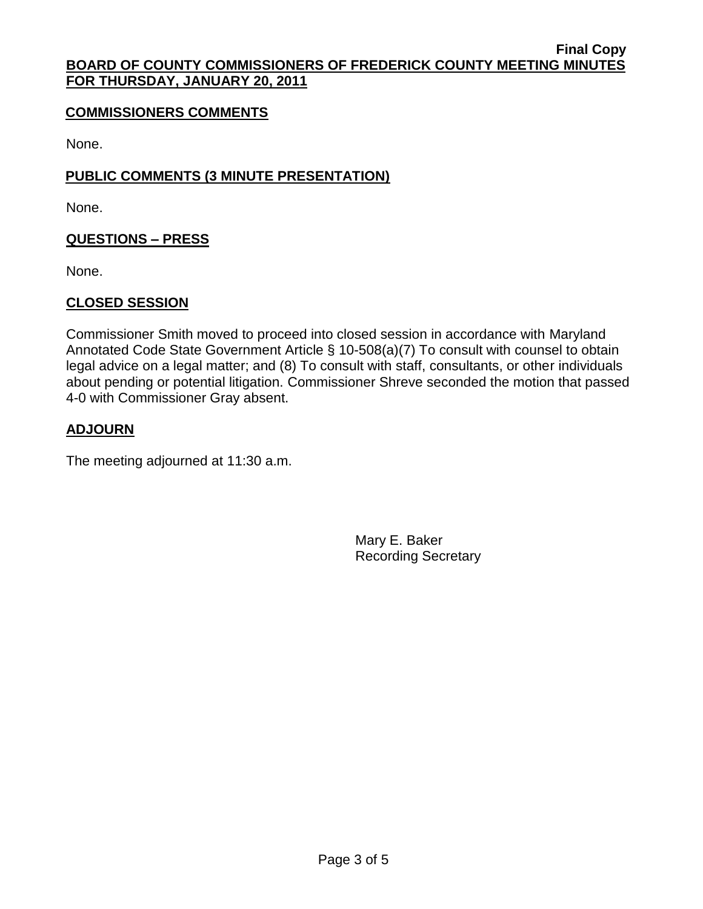#### **Final Copy BOARD OF COUNTY COMMISSIONERS OF FREDERICK COUNTY MEETING MINUTES FOR THURSDAY, JANUARY 20, 2011**

# **COMMISSIONERS COMMENTS**

None.

# **PUBLIC COMMENTS (3 MINUTE PRESENTATION)**

None.

# **QUESTIONS – PRESS**

None.

# **CLOSED SESSION**

Commissioner Smith moved to proceed into closed session in accordance with Maryland Annotated Code State Government Article § 10-508(a)(7) To consult with counsel to obtain legal advice on a legal matter; and (8) To consult with staff, consultants, or other individuals about pending or potential litigation. Commissioner Shreve seconded the motion that passed 4-0 with Commissioner Gray absent.

# **ADJOURN**

The meeting adjourned at 11:30 a.m.

Mary E. Baker Recording Secretary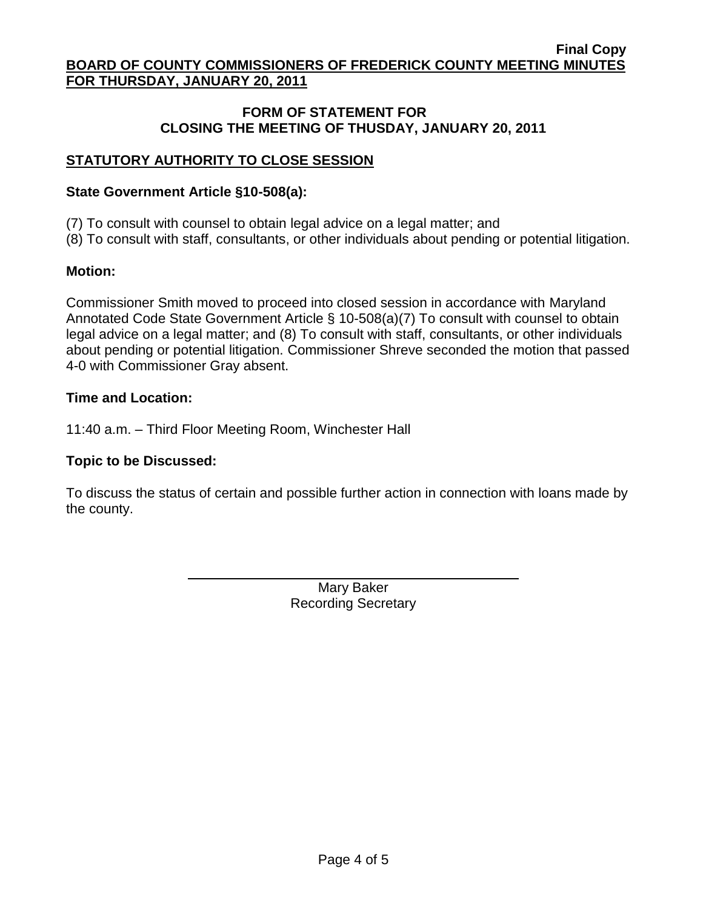**Final Copy BOARD OF COUNTY COMMISSIONERS OF FREDERICK COUNTY MEETING MINUTES FOR THURSDAY, JANUARY 20, 2011**

# **FORM OF STATEMENT FOR CLOSING THE MEETING OF THUSDAY, JANUARY 20, 2011**

# **STATUTORY AUTHORITY TO CLOSE SESSION**

#### **State Government Article §10-508(a):**

(7) To consult with counsel to obtain legal advice on a legal matter; and

(8) To consult with staff, consultants, or other individuals about pending or potential litigation.

#### **Motion:**

Commissioner Smith moved to proceed into closed session in accordance with Maryland Annotated Code State Government Article § 10-508(a)(7) To consult with counsel to obtain legal advice on a legal matter; and (8) To consult with staff, consultants, or other individuals about pending or potential litigation. Commissioner Shreve seconded the motion that passed 4-0 with Commissioner Gray absent.

#### **Time and Location:**

11:40 a.m. – Third Floor Meeting Room, Winchester Hall

### **Topic to be Discussed:**

To discuss the status of certain and possible further action in connection with loans made by the county.

> Mary Baker Recording Secretary